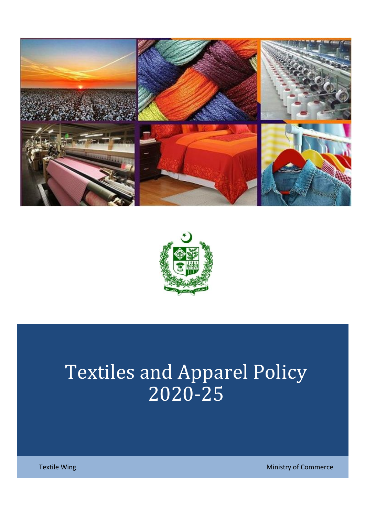



# Textiles and Apparel Policy 2020-25

Textile Wing Ministry of Commerce Commerce Commerce Commerce Commerce Commerce Commerce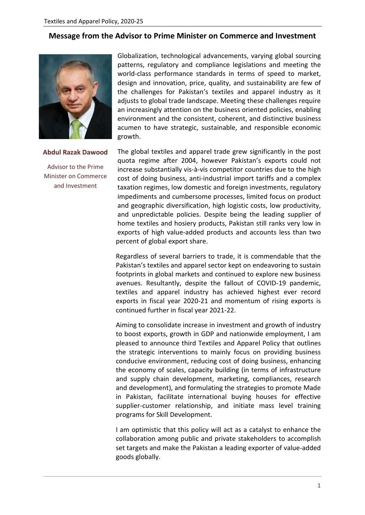#### **Message from the Advisor to Prime Minister on Commerce and Investment**



**Abdul Razak Dawood**

Advisor to the Prime Minister on Commerce and Investment

Globalization, technological advancements, varying global sourcing patterns, regulatory and compliance legislations and meeting the world-class performance standards in terms of speed to market, design and innovation, price, quality, and sustainability are few of the challenges for Pakistan's textiles and apparel industry as it adjusts to global trade landscape. Meeting these challenges require an increasingly attention on the business oriented policies, enabling environment and the consistent, coherent, and distinctive business acumen to have strategic, sustainable, and responsible economic growth.

The global textiles and apparel trade grew significantly in the post quota regime after 2004, however Pakistan's exports could not increase substantially vis-à-vis competitor countries due to the high cost of doing business, anti-industrial import tariffs and a complex taxation regimes, low domestic and foreign investments, regulatory impediments and cumbersome processes, limited focus on product and geographic diversification, high logistic costs, low productivity, and unpredictable policies. Despite being the leading supplier of home textiles and hosiery products, Pakistan still ranks very low in exports of high value-added products and accounts less than two percent of global export share.

Regardless of several barriers to trade, it is commendable that the Pakistan's textiles and apparel sector kept on endeavoring to sustain footprints in global markets and continued to explore new business avenues. Resultantly, despite the fallout of COVID-19 pandemic, textiles and apparel industry has achieved highest ever record exports in fiscal year 2020-21 and momentum of rising exports is continued further in fiscal year 2021-22.

Aiming to consolidate increase in investment and growth of industry to boost exports, growth in GDP and nationwide employment, I am pleased to announce third Textiles and Apparel Policy that outlines the strategic interventions to mainly focus on providing business conducive environment, reducing cost of doing business, enhancing the economy of scales, capacity building (in terms of infrastructure and supply chain development, marketing, compliances, research and development), and formulating the strategies to promote Made in Pakistan, facilitate international buying houses for effective supplier-customer relationship, and initiate mass level training programs for Skill Development.

I am optimistic that this policy will act as a catalyst to enhance the collaboration among public and private stakeholders to accomplish set targets and make the Pakistan a leading exporter of value-added goods globally.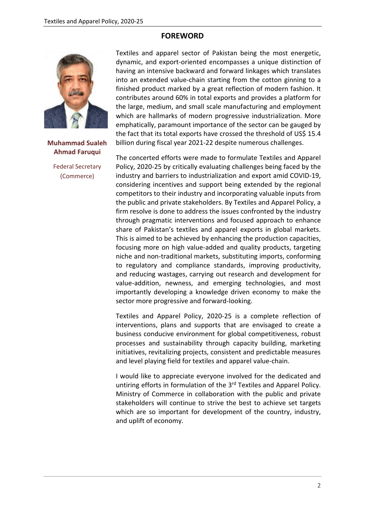#### **FOREWORD**



**Muhammad Sualeh Ahmad Faruqui**

Federal Secretary (Commerce)

Textiles and apparel sector of Pakistan being the most energetic, dynamic, and export-oriented encompasses a unique distinction of having an intensive backward and forward linkages which translates into an extended value-chain starting from the cotton ginning to a finished product marked by a great reflection of modern fashion. It contributes around 60% in total exports and provides a platform for the large, medium, and small scale manufacturing and employment which are hallmarks of modern progressive industrialization. More emphatically, paramount importance of the sector can be gauged by the fact that its total exports have crossed the threshold of US\$ 15.4 billion during fiscal year 2021-22 despite numerous challenges.

The concerted efforts were made to formulate Textiles and Apparel Policy, 2020-25 by critically evaluating challenges being faced by the industry and barriers to industrialization and export amid COVID-19, considering incentives and support being extended by the regional competitors to their industry and incorporating valuable inputs from the public and private stakeholders. By Textiles and Apparel Policy, a firm resolve is done to address the issues confronted by the industry through pragmatic interventions and focused approach to enhance share of Pakistan's textiles and apparel exports in global markets. This is aimed to be achieved by enhancing the production capacities, focusing more on high value-added and quality products, targeting niche and non-traditional markets, substituting imports, conforming to regulatory and compliance standards, improving productivity, and reducing wastages, carrying out research and development for value-addition, newness, and emerging technologies, and most importantly developing a knowledge driven economy to make the sector more progressive and forward-looking.

Textiles and Apparel Policy, 2020-25 is a complete reflection of interventions, plans and supports that are envisaged to create a business conducive environment for global competitiveness, robust processes and sustainability through capacity building, marketing initiatives, revitalizing projects, consistent and predictable measures and level playing field for textiles and apparel value-chain.

I would like to appreciate everyone involved for the dedicated and untiring efforts in formulation of the 3<sup>rd</sup> Textiles and Apparel Policy. Ministry of Commerce in collaboration with the public and private stakeholders will continue to strive the best to achieve set targets which are so important for development of the country, industry, and uplift of economy.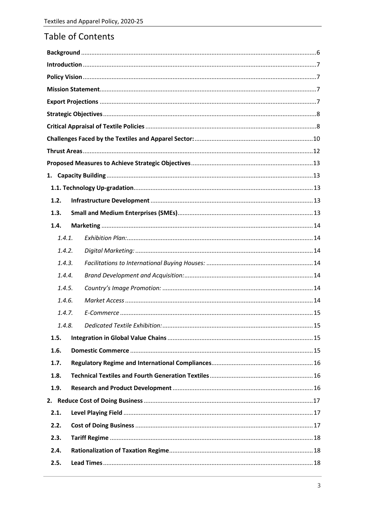# Table of Contents

| 1.2. |        |  |  |  |  |  |  |  |
|------|--------|--|--|--|--|--|--|--|
| 1.3. |        |  |  |  |  |  |  |  |
| 1.4. |        |  |  |  |  |  |  |  |
|      | 1.4.1. |  |  |  |  |  |  |  |
|      | 1.4.2. |  |  |  |  |  |  |  |
|      | 1.4.3. |  |  |  |  |  |  |  |
|      | 1.4.4. |  |  |  |  |  |  |  |
|      | 1.4.5. |  |  |  |  |  |  |  |
|      | 1.4.6. |  |  |  |  |  |  |  |
|      | 1.4.7. |  |  |  |  |  |  |  |
|      | 1.4.8. |  |  |  |  |  |  |  |
| 1.5. |        |  |  |  |  |  |  |  |
| 1.6. |        |  |  |  |  |  |  |  |
| 1.7. |        |  |  |  |  |  |  |  |
| 1.8. |        |  |  |  |  |  |  |  |
| 1.9. |        |  |  |  |  |  |  |  |
|      |        |  |  |  |  |  |  |  |
| 2.1. |        |  |  |  |  |  |  |  |
|      | 2.2.   |  |  |  |  |  |  |  |
| 2.3. |        |  |  |  |  |  |  |  |
| 2.4. |        |  |  |  |  |  |  |  |
| 2.5. |        |  |  |  |  |  |  |  |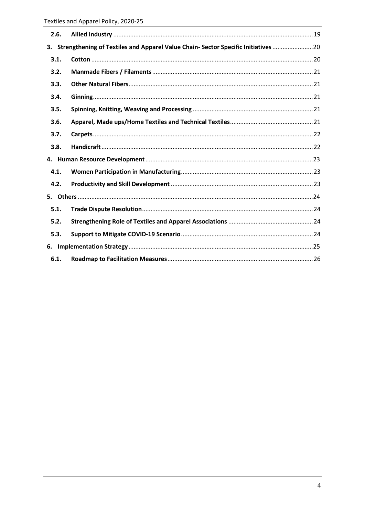| 2.6. |                                                                                      |  |
|------|--------------------------------------------------------------------------------------|--|
|      | 3. Strengthening of Textiles and Apparel Value Chain- Sector Specific Initiatives 20 |  |
| 3.1. |                                                                                      |  |
| 3.2. |                                                                                      |  |
| 3.3. |                                                                                      |  |
| 3.4. |                                                                                      |  |
| 3.5. |                                                                                      |  |
| 3.6. |                                                                                      |  |
| 3.7. |                                                                                      |  |
| 3.8. |                                                                                      |  |
|      |                                                                                      |  |
| 4.1. |                                                                                      |  |
| 4.2. |                                                                                      |  |
|      |                                                                                      |  |
| 5.1. |                                                                                      |  |
| 5.2. |                                                                                      |  |
| 5.3. |                                                                                      |  |
|      |                                                                                      |  |
| 6.1. |                                                                                      |  |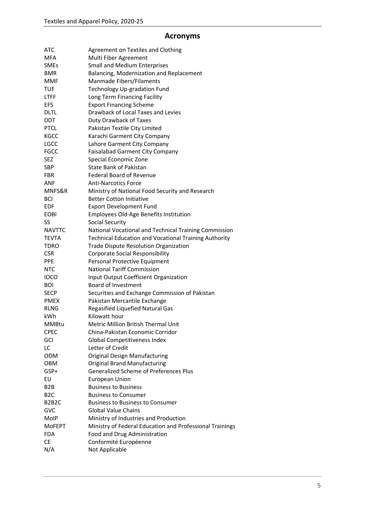# **Acronyms**

| ATC                             | Agreement on Textiles and Clothing                           |
|---------------------------------|--------------------------------------------------------------|
| MFA                             | Multi Fiber Agreement                                        |
| <b>SMEs</b>                     | <b>Small and Medium Enterprises</b>                          |
| <b>BMR</b>                      | Balancing, Modernization and Replacement                     |
| <b>MMF</b>                      | Manmade Fibers/Filaments                                     |
| <b>TUF</b>                      | Technology Up-gradation Fund                                 |
| <b>LTFF</b>                     | Long Term Financing Facility                                 |
| <b>EFS</b>                      | <b>Export Financing Scheme</b>                               |
| <b>DLTL</b>                     | Drawback of Local Taxes and Levies                           |
| <b>DDT</b>                      | Duty Drawback of Taxes                                       |
| <b>PTCL</b>                     | Pakistan Textile City Limited                                |
| <b>KGCC</b>                     | Karachi Garment City Company                                 |
| <b>LGCC</b>                     | Lahore Garment City Company                                  |
| <b>FGCC</b>                     | <b>Faisalabad Garment City Company</b>                       |
| <b>SEZ</b>                      | Special Economic Zone                                        |
| <b>SBP</b>                      | <b>State Bank of Pakistan</b>                                |
| <b>FBR</b>                      | <b>Federal Board of Revenue</b>                              |
| <b>ANF</b>                      | <b>Anti-Narcotics Force</b>                                  |
| MNFS&R                          | Ministry of National Food Security and Research              |
| BCI                             | <b>Better Cotton Initiative</b>                              |
| EDF                             | <b>Export Development Fund</b>                               |
| <b>EOBI</b>                     | Employees Old-Age Benefits Institution                       |
| SS                              | <b>Social Security</b>                                       |
| <b>NAVTTC</b>                   | National Vocational and Technical Training Commission        |
| <b>TEVTA</b>                    | <b>Technical Education and Vocational Training Authority</b> |
| TDRO                            | <b>Trade Dispute Resolution Organization</b>                 |
| <b>CSR</b>                      | <b>Corporate Social Responsibility</b>                       |
| <b>PPE</b>                      | Personal Protective Equipment                                |
| NTC                             | <b>National Tariff Commission</b>                            |
| <b>IOCO</b>                     | Input Output Coefficient Organization                        |
| <b>BOI</b>                      | <b>Board of Investment</b>                                   |
| <b>SECP</b>                     | Securities and Exchange Commission of Pakistan               |
| <b>PMEX</b>                     | Pakistan Mercantile Exchange                                 |
| <b>RLNG</b>                     | Regasified Liquefied Natural Gas                             |
| kWh                             | Kilowatt hour                                                |
| <b>MMBtu</b>                    | <b>Metric Million British Thermal Unit</b>                   |
| <b>CPEC</b>                     | China-Pakistan Economic Corridor                             |
| GCI                             | <b>Global Competitiveness Index</b>                          |
| LC                              | Letter of Credit                                             |
| <b>ODM</b>                      | <b>Original Design Manufacturing</b>                         |
| <b>OBM</b>                      | <b>Original Brand Manufacturing</b>                          |
| GSP+                            | <b>Generalized Scheme of Preferences Plus</b>                |
| EU                              | <b>European Union</b>                                        |
| B <sub>2</sub> B                | <b>Business to Business</b>                                  |
| B <sub>2</sub> C                | <b>Business to Consumer</b>                                  |
| B <sub>2</sub> B <sub>2</sub> C | <b>Business to Business to Consumer</b>                      |
| GVC                             | <b>Global Value Chains</b>                                   |
| MolP                            | Ministry of Industries and Production                        |
| <b>MOFEPT</b>                   | Ministry of Federal Education and Professional Trainings     |
| <b>FDA</b>                      | Food and Drug Administration                                 |
| <b>CE</b>                       | Conformité Européenne                                        |
| N/A                             | Not Applicable                                               |
|                                 |                                                              |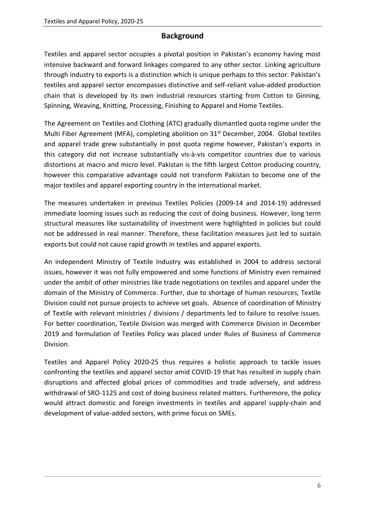# **Background**

<span id="page-6-0"></span>Textiles and apparel sector occupies a pivotal position in Pakistan's economy having most intensive backward and forward linkages compared to any other sector. Linking agriculture through industry to exports is a distinction which is unique perhaps to this sector. Pakistan's textiles and apparel sector encompasses distinctive and self-reliant value-added production chain that is developed by its own industrial resources starting from Cotton to Ginning, Spinning, Weaving, Knitting, Processing, Finishing to Apparel and Home Textiles.

The Agreement on Textiles and Clothing (ATC) gradually dismantled quota regime under the Multi Fiber Agreement (MFA), completing abolition on 31<sup>st</sup> December, 2004. Global textiles and apparel trade grew substantially in post quota regime however, Pakistan's exports in this category did not increase substantially vis-à-vis competitor countries due to various distortions at macro and micro level. Pakistan is the fifth largest Cotton producing country, however this comparative advantage could not transform Pakistan to become one of the major textiles and apparel exporting country in the international market.

The measures undertaken in previous Textiles Policies (2009-14 and 2014-19) addressed immediate looming issues such as reducing the cost of doing business. However, long term structural measures like sustainability of investment were highlighted in policies but could not be addressed in real manner. Therefore, these facilitation measures just led to sustain exports but could not cause rapid growth in textiles and apparel exports.

An independent Ministry of Textile Industry was established in 2004 to address sectoral issues, however it was not fully empowered and some functions of Ministry even remained under the ambit of other ministries like trade negotiations on textiles and apparel under the domain of the Ministry of Commerce. Further, due to shortage of human resources, Textile Division could not pursue projects to achieve set goals. Absence of coordination of Ministry of Textile with relevant ministries / divisions / departments led to failure to resolve issues. For better coordination, Textile Division was merged with Commerce Division in December 2019 and formulation of Textiles Policy was placed under Rules of Business of Commerce Division.

Textiles and Apparel Policy 2020-25 thus requires a holistic approach to tackle issues confronting the textiles and apparel sector amid COVID-19 that has resulted in supply chain disruptions and affected global prices of commodities and trade adversely, and address withdrawal of SRO-1125 and cost of doing business related matters. Furthermore, the policy would attract domestic and foreign investments in textiles and apparel supply-chain and development of value-added sectors, with prime focus on SMEs.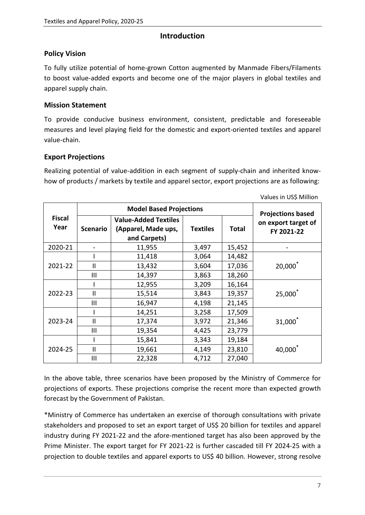#### **Introduction**

#### <span id="page-7-1"></span><span id="page-7-0"></span>**Policy Vision**

To fully utilize potential of home-grown Cotton augmented by Manmade Fibers/Filaments to boost value-added exports and become one of the major players in global textiles and apparel supply chain.

#### <span id="page-7-2"></span>**Mission Statement**

To provide conducive business environment, consistent, predictable and foreseeable measures and level playing field for the domestic and export-oriented textiles and apparel value-chain.

#### <span id="page-7-3"></span>**Export Projections**

Realizing potential of value-addition in each segment of supply-chain and inherited knowhow of products / markets by textile and apparel sector, export projections are as following:

|                       |                 |                                                                    |                          |              | Values in US\$ Million            |
|-----------------------|-----------------|--------------------------------------------------------------------|--------------------------|--------------|-----------------------------------|
|                       |                 | <b>Model Based Projections</b>                                     | <b>Projections based</b> |              |                                   |
| <b>Fiscal</b><br>Year | <b>Scenario</b> | <b>Value-Added Textiles</b><br>(Apparel, Made ups,<br>and Carpets) | <b>Textiles</b>          | <b>Total</b> | on export target of<br>FY 2021-22 |
| 2020-21               |                 | 11,955                                                             | 3,497                    | 15,452       |                                   |
|                       |                 | 11,418                                                             | 3,064                    | 14,482       |                                   |
| 2021-22               | $\mathbf{II}$   | 13,432                                                             | 3,604                    | 17,036       | 20,000*                           |
|                       | Ш               | 14,397                                                             | 3,863                    | 18,260       |                                   |
|                       |                 | 12,955                                                             | 3,209                    | 16,164       |                                   |
| 2022-23               | $\mathsf{II}$   | 15,514                                                             | 3,843                    | 19,357       | 25,000                            |
|                       | III             | 16,947                                                             | 4,198                    | 21,145       |                                   |
|                       |                 | 14,251                                                             | 3,258                    | 17,509       |                                   |
| 2023-24               | $\mathbf{I}$    | 17,374                                                             | 3,972                    | 21,346       | 31,000 <sup>*</sup>               |
|                       | Ш               | 19,354                                                             | 4,425                    | 23,779       |                                   |
|                       |                 | 15,841                                                             | 3,343                    | 19,184       |                                   |
| 2024-25               | $\mathsf{II}$   | 19,661                                                             | 4,149                    | 23,810       | 40,000 <sup>*</sup>               |
|                       | Ш               | 22,328                                                             | 4,712                    | 27,040       |                                   |

In the above table, three scenarios have been proposed by the Ministry of Commerce for projections of exports. These projections comprise the recent more than expected growth forecast by the Government of Pakistan.

\*Ministry of Commerce has undertaken an exercise of thorough consultations with private stakeholders and proposed to set an export target of US\$ 20 billion for textiles and apparel industry during FY 2021-22 and the afore-mentioned target has also been approved by the Prime Minister. The export target for FY 2021-22 is further cascaded till FY 2024-25 with a projection to double textiles and apparel exports to US\$ 40 billion. However, strong resolve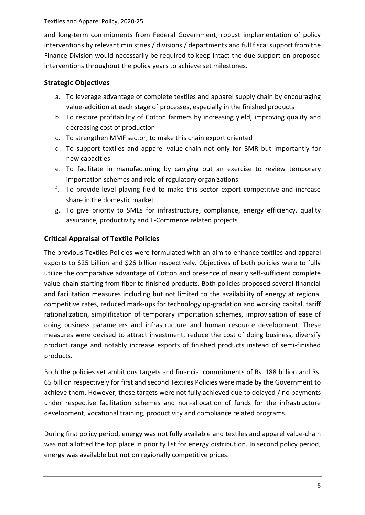and long-term commitments from Federal Government, robust implementation of policy interventions by relevant ministries / divisions / departments and full fiscal support from the Finance Division would necessarily be required to keep intact the due support on proposed interventions throughout the policy years to achieve set milestones.

# <span id="page-8-0"></span>**Strategic Objectives**

- a. To leverage advantage of complete textiles and apparel supply chain by encouraging value-addition at each stage of processes, especially in the finished products
- b. To restore profitability of Cotton farmers by increasing yield, improving quality and decreasing cost of production
- c. To strengthen MMF sector, to make this chain export oriented
- d. To support textiles and apparel value-chain not only for BMR but importantly for new capacities
- e. To facilitate in manufacturing by carrying out an exercise to review temporary importation schemes and role of regulatory organizations
- f. To provide level playing field to make this sector export competitive and increase share in the domestic market
- g. To give priority to SMEs for infrastructure, compliance, energy efficiency, quality assurance, productivity and E-Commerce related projects

# <span id="page-8-1"></span>**Critical Appraisal of Textile Policies**

The previous Textiles Policies were formulated with an aim to enhance textiles and apparel exports to \$25 billion and \$26 billion respectively. Objectives of both policies were to fully utilize the comparative advantage of Cotton and presence of nearly self-sufficient complete value-chain starting from fiber to finished products. Both policies proposed several financial and facilitation measures including but not limited to the availability of energy at regional competitive rates, reduced mark-ups for technology up-gradation and working capital, tariff rationalization, simplification of temporary importation schemes, improvisation of ease of doing business parameters and infrastructure and human resource development. These measures were devised to attract investment, reduce the cost of doing business, diversify product range and notably increase exports of finished products instead of semi-finished products.

Both the policies set ambitious targets and financial commitments of Rs. 188 billion and Rs. 65 billion respectively for first and second Textiles Policies were made by the Government to achieve them. However, these targets were not fully achieved due to delayed / no payments under respective facilitation schemes and non-allocation of funds for the infrastructure development, vocational training, productivity and compliance related programs.

During first policy period, energy was not fully available and textiles and apparel value-chain was not allotted the top place in priority list for energy distribution. In second policy period, energy was available but not on regionally competitive prices.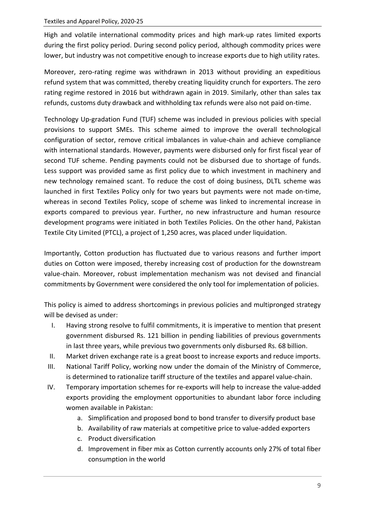High and volatile international commodity prices and high mark-up rates limited exports during the first policy period. During second policy period, although commodity prices were lower, but industry was not competitive enough to increase exports due to high utility rates.

Moreover, zero-rating regime was withdrawn in 2013 without providing an expeditious refund system that was committed, thereby creating liquidity crunch for exporters. The zero rating regime restored in 2016 but withdrawn again in 2019. Similarly, other than sales tax refunds, customs duty drawback and withholding tax refunds were also not paid on-time.

Technology Up-gradation Fund (TUF) scheme was included in previous policies with special provisions to support SMEs. This scheme aimed to improve the overall technological configuration of sector, remove critical imbalances in value-chain and achieve compliance with international standards. However, payments were disbursed only for first fiscal year of second TUF scheme. Pending payments could not be disbursed due to shortage of funds. Less support was provided same as first policy due to which investment in machinery and new technology remained scant. To reduce the cost of doing business, DLTL scheme was launched in first Textiles Policy only for two years but payments were not made on-time, whereas in second Textiles Policy, scope of scheme was linked to incremental increase in exports compared to previous year. Further, no new infrastructure and human resource development programs were initiated in both Textiles Policies. On the other hand, Pakistan Textile City Limited (PTCL), a project of 1,250 acres, was placed under liquidation.

Importantly, Cotton production has fluctuated due to various reasons and further import duties on Cotton were imposed, thereby increasing cost of production for the downstream value-chain. Moreover, robust implementation mechanism was not devised and financial commitments by Government were considered the only tool for implementation of policies.

This policy is aimed to address shortcomings in previous policies and multipronged strategy will be devised as under:

- I. Having strong resolve to fulfil commitments, it is imperative to mention that present government disbursed Rs. 121 billion in pending liabilities of previous governments in last three years, while previous two governments only disbursed Rs. 68 billion.
- II. Market driven exchange rate is a great boost to increase exports and reduce imports.
- III. National Tariff Policy, working now under the domain of the Ministry of Commerce, is determined to rationalize tariff structure of the textiles and apparel value-chain.
- IV. Temporary importation schemes for re-exports will help to increase the value-added exports providing the employment opportunities to abundant labor force including women available in Pakistan:
	- a. Simplification and proposed bond to bond transfer to diversify product base
	- b. Availability of raw materials at competitive price to value-added exporters
	- c. Product diversification
	- d. Improvement in fiber mix as Cotton currently accounts only 27% of total fiber consumption in the world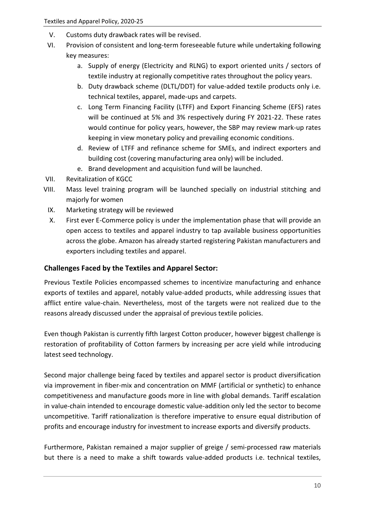- V. Customs duty drawback rates will be revised.
- VI. Provision of consistent and long-term foreseeable future while undertaking following key measures:
	- a. Supply of energy (Electricity and RLNG) to export oriented units / sectors of textile industry at regionally competitive rates throughout the policy years.
	- b. Duty drawback scheme (DLTL/DDT) for value-added textile products only i.e. technical textiles, apparel, made-ups and carpets.
	- c. Long Term Financing Facility (LTFF) and Export Financing Scheme (EFS) rates will be continued at 5% and 3% respectively during FY 2021-22. These rates would continue for policy years, however, the SBP may review mark-up rates keeping in view monetary policy and prevailing economic conditions.
	- d. Review of LTFF and refinance scheme for SMEs, and indirect exporters and building cost (covering manufacturing area only) will be included.
	- e. Brand development and acquisition fund will be launched.
- VII. Revitalization of KGCC
- VIII. Mass level training program will be launched specially on industrial stitching and majorly for women
	- IX. Marketing strategy will be reviewed
	- X. First ever E-Commerce policy is under the implementation phase that will provide an open access to textiles and apparel industry to tap available business opportunities across the globe. Amazon has already started registering Pakistan manufacturers and exporters including textiles and apparel.

#### <span id="page-10-0"></span>**Challenges Faced by the Textiles and Apparel Sector:**

Previous Textile Policies encompassed schemes to incentivize manufacturing and enhance exports of textiles and apparel, notably value-added products, while addressing issues that afflict entire value-chain. Nevertheless, most of the targets were not realized due to the reasons already discussed under the appraisal of previous textile policies.

Even though Pakistan is currently fifth largest Cotton producer, however biggest challenge is restoration of profitability of Cotton farmers by increasing per acre yield while introducing latest seed technology.

Second major challenge being faced by textiles and apparel sector is product diversification via improvement in fiber-mix and concentration on MMF (artificial or synthetic) to enhance competitiveness and manufacture goods more in line with global demands. Tariff escalation in value-chain intended to encourage domestic value-addition only led the sector to become uncompetitive. Tariff rationalization is therefore imperative to ensure equal distribution of profits and encourage industry for investment to increase exports and diversify products.

Furthermore, Pakistan remained a major supplier of greige / semi-processed raw materials but there is a need to make a shift towards value-added products i.e. technical textiles,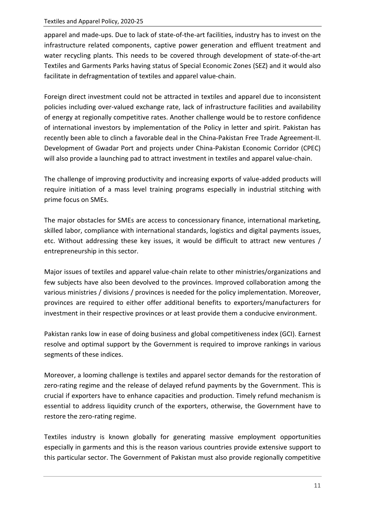apparel and made-ups. Due to lack of state-of-the-art facilities, industry has to invest on the infrastructure related components, captive power generation and effluent treatment and water recycling plants. This needs to be covered through development of state-of-the-art Textiles and Garments Parks having status of Special Economic Zones (SEZ) and it would also facilitate in defragmentation of textiles and apparel value-chain.

Foreign direct investment could not be attracted in textiles and apparel due to inconsistent policies including over-valued exchange rate, lack of infrastructure facilities and availability of energy at regionally competitive rates. Another challenge would be to restore confidence of international investors by implementation of the Policy in letter and spirit. Pakistan has recently been able to clinch a favorable deal in the China-Pakistan Free Trade Agreement-II. Development of Gwadar Port and projects under China-Pakistan Economic Corridor (CPEC) will also provide a launching pad to attract investment in textiles and apparel value-chain.

The challenge of improving productivity and increasing exports of value-added products will require initiation of a mass level training programs especially in industrial stitching with prime focus on SMEs.

The major obstacles for SMEs are access to concessionary finance, international marketing, skilled labor, compliance with international standards, logistics and digital payments issues, etc. Without addressing these key issues, it would be difficult to attract new ventures / entrepreneurship in this sector.

Major issues of textiles and apparel value-chain relate to other ministries/organizations and few subjects have also been devolved to the provinces. Improved collaboration among the various ministries / divisions / provinces is needed for the policy implementation. Moreover, provinces are required to either offer additional benefits to exporters/manufacturers for investment in their respective provinces or at least provide them a conducive environment.

Pakistan ranks low in ease of doing business and global competitiveness index (GCI). Earnest resolve and optimal support by the Government is required to improve rankings in various segments of these indices.

Moreover, a looming challenge is textiles and apparel sector demands for the restoration of zero-rating regime and the release of delayed refund payments by the Government. This is crucial if exporters have to enhance capacities and production. Timely refund mechanism is essential to address liquidity crunch of the exporters, otherwise, the Government have to restore the zero-rating regime.

Textiles industry is known globally for generating massive employment opportunities especially in garments and this is the reason various countries provide extensive support to this particular sector. The Government of Pakistan must also provide regionally competitive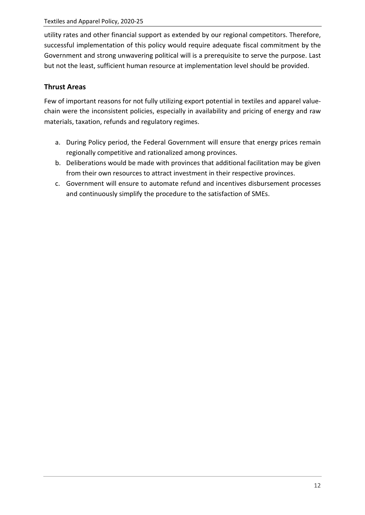utility rates and other financial support as extended by our regional competitors. Therefore, successful implementation of this policy would require adequate fiscal commitment by the Government and strong unwavering political will is a prerequisite to serve the purpose. Last but not the least, sufficient human resource at implementation level should be provided.

# <span id="page-12-0"></span>**Thrust Areas**

Few of important reasons for not fully utilizing export potential in textiles and apparel valuechain were the inconsistent policies, especially in availability and pricing of energy and raw materials, taxation, refunds and regulatory regimes.

- a. During Policy period, the Federal Government will ensure that energy prices remain regionally competitive and rationalized among provinces.
- b. Deliberations would be made with provinces that additional facilitation may be given from their own resources to attract investment in their respective provinces.
- c. Government will ensure to automate refund and incentives disbursement processes and continuously simplify the procedure to the satisfaction of SMEs.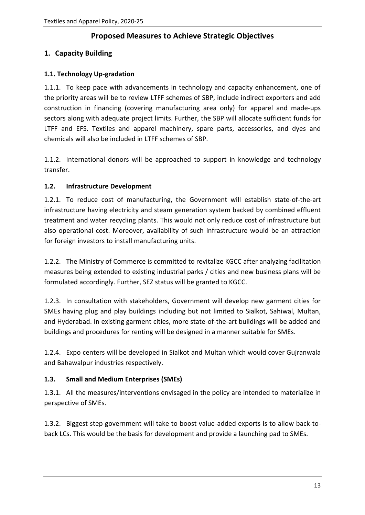# **Proposed Measures to Achieve Strategic Objectives**

# <span id="page-13-1"></span><span id="page-13-0"></span>**1. Capacity Building**

#### <span id="page-13-2"></span>**1.1. Technology Up-gradation**

1.1.1. To keep pace with advancements in technology and capacity enhancement, one of the priority areas will be to review LTFF schemes of SBP, include indirect exporters and add construction in financing (covering manufacturing area only) for apparel and made-ups sectors along with adequate project limits. Further, the SBP will allocate sufficient funds for LTFF and EFS. Textiles and apparel machinery, spare parts, accessories, and dyes and chemicals will also be included in LTFF schemes of SBP.

1.1.2. International donors will be approached to support in knowledge and technology transfer.

#### <span id="page-13-3"></span>**1.2. Infrastructure Development**

1.2.1. To reduce cost of manufacturing, the Government will establish state-of-the-art infrastructure having electricity and steam generation system backed by combined effluent treatment and water recycling plants. This would not only reduce cost of infrastructure but also operational cost. Moreover, availability of such infrastructure would be an attraction for foreign investors to install manufacturing units.

1.2.2. The Ministry of Commerce is committed to revitalize KGCC after analyzing facilitation measures being extended to existing industrial parks / cities and new business plans will be formulated accordingly. Further, SEZ status will be granted to KGCC.

1.2.3. In consultation with stakeholders, Government will develop new garment cities for SMEs having plug and play buildings including but not limited to Sialkot, Sahiwal, Multan, and Hyderabad. In existing garment cities, more state-of-the-art buildings will be added and buildings and procedures for renting will be designed in a manner suitable for SMEs.

1.2.4. Expo centers will be developed in Sialkot and Multan which would cover Gujranwala and Bahawalpur industries respectively.

# <span id="page-13-4"></span>**1.3. Small and Medium Enterprises (SMEs)**

1.3.1. All the measures/interventions envisaged in the policy are intended to materialize in perspective of SMEs.

1.3.2. Biggest step government will take to boost value-added exports is to allow back-toback LCs. This would be the basis for development and provide a launching pad to SMEs.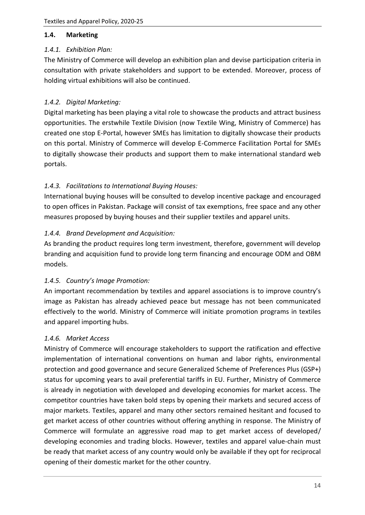#### <span id="page-14-0"></span>**1.4. Marketing**

#### <span id="page-14-1"></span>*1.4.1. Exhibition Plan:*

The Ministry of Commerce will develop an exhibition plan and devise participation criteria in consultation with private stakeholders and support to be extended. Moreover, process of holding virtual exhibitions will also be continued.

#### <span id="page-14-2"></span>*1.4.2. Digital Marketing:*

Digital marketing has been playing a vital role to showcase the products and attract business opportunities. The erstwhile Textile Division (now Textile Wing, Ministry of Commerce) has created one stop E-Portal, however SMEs has limitation to digitally showcase their products on this portal. Ministry of Commerce will develop E-Commerce Facilitation Portal for SMEs to digitally showcase their products and support them to make international standard web portals.

# <span id="page-14-3"></span>*1.4.3. Facilitations to International Buying Houses:*

International buying houses will be consulted to develop incentive package and encouraged to open offices in Pakistan. Package will consist of tax exemptions, free space and any other measures proposed by buying houses and their supplier textiles and apparel units.

#### <span id="page-14-4"></span>*1.4.4. Brand Development and Acquisition:*

As branding the product requires long term investment, therefore, government will develop branding and acquisition fund to provide long term financing and encourage ODM and OBM models.

#### <span id="page-14-5"></span>*1.4.5. Country's Image Promotion:*

An important recommendation by textiles and apparel associations is to improve country's image as Pakistan has already achieved peace but message has not been communicated effectively to the world. Ministry of Commerce will initiate promotion programs in textiles and apparel importing hubs.

#### <span id="page-14-6"></span>*1.4.6. Market Access*

Ministry of Commerce will encourage stakeholders to support the ratification and effective implementation of international conventions on human and labor rights, environmental protection and good governance and secure Generalized Scheme of Preferences Plus (GSP+) status for upcoming years to avail preferential tariffs in EU. Further, Ministry of Commerce is already in negotiation with developed and developing economies for market access. The competitor countries have taken bold steps by opening their markets and secured access of major markets. Textiles, apparel and many other sectors remained hesitant and focused to get market access of other countries without offering anything in response. The Ministry of Commerce will formulate an aggressive road map to get market access of developed/ developing economies and trading blocks. However, textiles and apparel value-chain must be ready that market access of any country would only be available if they opt for reciprocal opening of their domestic market for the other country.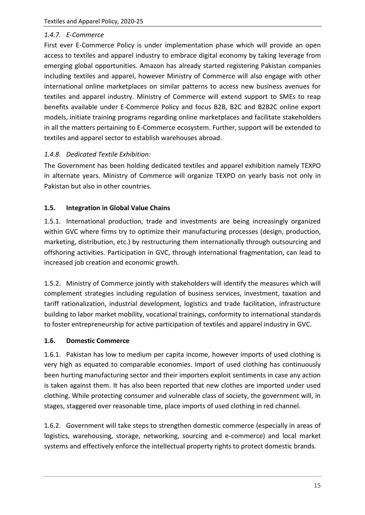#### <span id="page-15-0"></span>*1.4.7. E-Commerce*

First ever E-Commerce Policy is under implementation phase which will provide an open access to textiles and apparel industry to embrace digital economy by taking leverage from emerging global opportunities. Amazon has already started registering Pakistan companies including textiles and apparel, however Ministry of Commerce will also engage with other international online marketplaces on similar patterns to access new business avenues for textiles and apparel industry. Ministry of Commerce will extend support to SMEs to reap benefits available under E-Commerce Policy and focus B2B, B2C and B2B2C online export models, initiate training programs regarding online marketplaces and facilitate stakeholders in all the matters pertaining to E-Commerce ecosystem. Further, support will be extended to textiles and apparel sector to establish warehouses abroad.

#### <span id="page-15-1"></span>*1.4.8. Dedicated Textile Exhibition:*

The Government has been holding dedicated textiles and apparel exhibition namely TEXPO in alternate years. Ministry of Commerce will organize TEXPO on yearly basis not only in Pakistan but also in other countries.

#### <span id="page-15-2"></span>**1.5. Integration in Global Value Chains**

1.5.1. International production, trade and investments are being increasingly organized within GVC where firms try to optimize their manufacturing processes (design, production, marketing, distribution, etc.) by restructuring them internationally through outsourcing and offshoring activities. Participation in GVC, through international fragmentation, can lead to increased job creation and economic growth.

1.5.2. Ministry of Commerce jointly with stakeholders will identify the measures which will complement strategies including regulation of business services, investment, taxation and tariff rationalization, industrial development, logistics and trade facilitation, infrastructure building to labor market mobility, vocational trainings, conformity to international standards to foster entrepreneurship for active participation of textiles and apparel industry in GVC.

#### <span id="page-15-3"></span>**1.6. Domestic Commerce**

1.6.1. Pakistan has low to medium per capita income, however imports of used clothing is very high as equated to comparable economies. Import of used clothing has continuously been hurting manufacturing sector and their importers exploit sentiments in case any action is taken against them. It has also been reported that new clothes are imported under used clothing. While protecting consumer and vulnerable class of society, the government will, in stages, staggered over reasonable time, place imports of used clothing in red channel.

1.6.2. Government will take steps to strengthen domestic commerce (especially in areas of logistics, warehousing, storage, networking, sourcing and e-commerce) and local market systems and effectively enforce the intellectual property rights to protect domestic brands.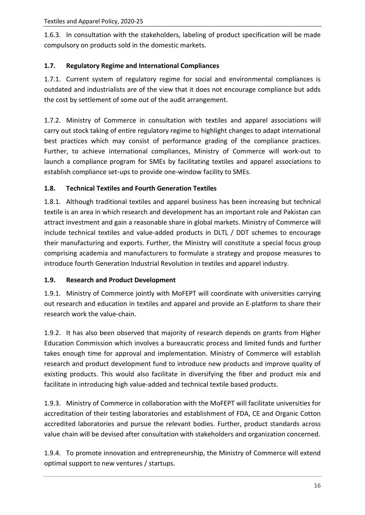1.6.3. In consultation with the stakeholders, labeling of product specification will be made compulsory on products sold in the domestic markets.

# <span id="page-16-0"></span>**1.7. Regulatory Regime and International Compliances**

1.7.1. Current system of regulatory regime for social and environmental compliances is outdated and industrialists are of the view that it does not encourage compliance but adds the cost by settlement of some out of the audit arrangement.

1.7.2. Ministry of Commerce in consultation with textiles and apparel associations will carry out stock taking of entire regulatory regime to highlight changes to adapt international best practices which may consist of performance grading of the compliance practices. Further, to achieve international compliances, Ministry of Commerce will work-out to launch a compliance program for SMEs by facilitating textiles and apparel associations to establish compliance set-ups to provide one-window facility to SMEs.

#### <span id="page-16-1"></span>**1.8. Technical Textiles and Fourth Generation Textiles**

1.8.1. Although traditional textiles and apparel business has been increasing but technical textile is an area in which research and development has an important role and Pakistan can attract investment and gain a reasonable share in global markets. Ministry of Commerce will include technical textiles and value-added products in DLTL / DDT schemes to encourage their manufacturing and exports. Further, the Ministry will constitute a special focus group comprising academia and manufacturers to formulate a strategy and propose measures to introduce fourth Generation Industrial Revolution in textiles and apparel industry.

#### <span id="page-16-2"></span>**1.9. Research and Product Development**

1.9.1. Ministry of Commerce jointly with MoFEPT will coordinate with universities carrying out research and education in textiles and apparel and provide an E-platform to share their research work the value-chain.

1.9.2. It has also been observed that majority of research depends on grants from Higher Education Commission which involves a bureaucratic process and limited funds and further takes enough time for approval and implementation. Ministry of Commerce will establish research and product development fund to introduce new products and improve quality of existing products. This would also facilitate in diversifying the fiber and product mix and facilitate in introducing high value-added and technical textile based products.

1.9.3. Ministry of Commerce in collaboration with the MoFEPT will facilitate universities for accreditation of their testing laboratories and establishment of FDA, CE and Organic Cotton accredited laboratories and pursue the relevant bodies. Further, product standards across value chain will be devised after consultation with stakeholders and organization concerned.

1.9.4. To promote innovation and entrepreneurship, the Ministry of Commerce will extend optimal support to new ventures / startups.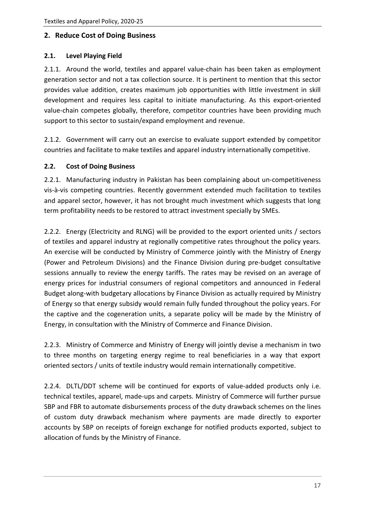#### <span id="page-17-0"></span>**2. Reduce Cost of Doing Business**

#### <span id="page-17-1"></span>**2.1. Level Playing Field**

2.1.1. Around the world, textiles and apparel value-chain has been taken as employment generation sector and not a tax collection source. It is pertinent to mention that this sector provides value addition, creates maximum job opportunities with little investment in skill development and requires less capital to initiate manufacturing. As this export-oriented value-chain competes globally, therefore, competitor countries have been providing much support to this sector to sustain/expand employment and revenue.

2.1.2. Government will carry out an exercise to evaluate support extended by competitor countries and facilitate to make textiles and apparel industry internationally competitive.

#### <span id="page-17-2"></span>**2.2. Cost of Doing Business**

2.2.1. Manufacturing industry in Pakistan has been complaining about un-competitiveness vis-à-vis competing countries. Recently government extended much facilitation to textiles and apparel sector, however, it has not brought much investment which suggests that long term profitability needs to be restored to attract investment specially by SMEs.

2.2.2. Energy (Electricity and RLNG) will be provided to the export oriented units / sectors of textiles and apparel industry at regionally competitive rates throughout the policy years. An exercise will be conducted by Ministry of Commerce jointly with the Ministry of Energy (Power and Petroleum Divisions) and the Finance Division during pre-budget consultative sessions annually to review the energy tariffs. The rates may be revised on an average of energy prices for industrial consumers of regional competitors and announced in Federal Budget along-with budgetary allocations by Finance Division as actually required by Ministry of Energy so that energy subsidy would remain fully funded throughout the policy years. For the captive and the cogeneration units, a separate policy will be made by the Ministry of Energy, in consultation with the Ministry of Commerce and Finance Division.

2.2.3. Ministry of Commerce and Ministry of Energy will jointly devise a mechanism in two to three months on targeting energy regime to real beneficiaries in a way that export oriented sectors / units of textile industry would remain internationally competitive.

2.2.4. DLTL/DDT scheme will be continued for exports of value-added products only i.e. technical textiles, apparel, made-ups and carpets. Ministry of Commerce will further pursue SBP and FBR to automate disbursements process of the duty drawback schemes on the lines of custom duty drawback mechanism where payments are made directly to exporter accounts by SBP on receipts of foreign exchange for notified products exported, subject to allocation of funds by the Ministry of Finance.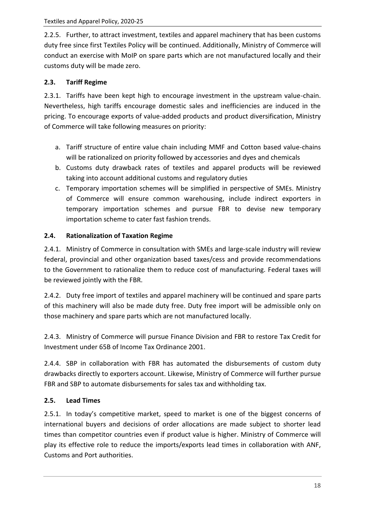2.2.5. Further, to attract investment, textiles and apparel machinery that has been customs duty free since first Textiles Policy will be continued. Additionally, Ministry of Commerce will conduct an exercise with MoIP on spare parts which are not manufactured locally and their customs duty will be made zero.

#### <span id="page-18-0"></span>**2.3. Tariff Regime**

2.3.1. Tariffs have been kept high to encourage investment in the upstream value-chain. Nevertheless, high tariffs encourage domestic sales and inefficiencies are induced in the pricing. To encourage exports of value-added products and product diversification, Ministry of Commerce will take following measures on priority:

- a. Tariff structure of entire value chain including MMF and Cotton based value-chains will be rationalized on priority followed by accessories and dyes and chemicals
- b. Customs duty drawback rates of textiles and apparel products will be reviewed taking into account additional customs and regulatory duties
- c. Temporary importation schemes will be simplified in perspective of SMEs. Ministry of Commerce will ensure common warehousing, include indirect exporters in temporary importation schemes and pursue FBR to devise new temporary importation scheme to cater fast fashion trends.

#### <span id="page-18-1"></span>**2.4. Rationalization of Taxation Regime**

2.4.1. Ministry of Commerce in consultation with SMEs and large-scale industry will review federal, provincial and other organization based taxes/cess and provide recommendations to the Government to rationalize them to reduce cost of manufacturing. Federal taxes will be reviewed jointly with the FBR.

2.4.2. Duty free import of textiles and apparel machinery will be continued and spare parts of this machinery will also be made duty free. Duty free import will be admissible only on those machinery and spare parts which are not manufactured locally.

2.4.3. Ministry of Commerce will pursue Finance Division and FBR to restore Tax Credit for Investment under 65B of Income Tax Ordinance 2001.

2.4.4. SBP in collaboration with FBR has automated the disbursements of custom duty drawbacks directly to exporters account. Likewise, Ministry of Commerce will further pursue FBR and SBP to automate disbursements for sales tax and withholding tax.

# <span id="page-18-2"></span>**2.5. Lead Times**

2.5.1. In today's competitive market, speed to market is one of the biggest concerns of international buyers and decisions of order allocations are made subject to shorter lead times than competitor countries even if product value is higher. Ministry of Commerce will play its effective role to reduce the imports/exports lead times in collaboration with ANF, Customs and Port authorities.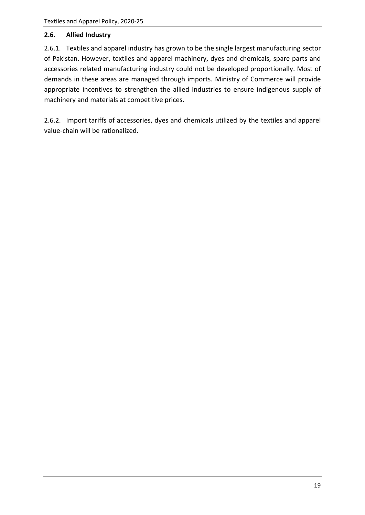#### <span id="page-19-0"></span>**2.6. Allied Industry**

2.6.1. Textiles and apparel industry has grown to be the single largest manufacturing sector of Pakistan. However, textiles and apparel machinery, dyes and chemicals, spare parts and accessories related manufacturing industry could not be developed proportionally. Most of demands in these areas are managed through imports. Ministry of Commerce will provide appropriate incentives to strengthen the allied industries to ensure indigenous supply of machinery and materials at competitive prices.

2.6.2. Import tariffs of accessories, dyes and chemicals utilized by the textiles and apparel value-chain will be rationalized.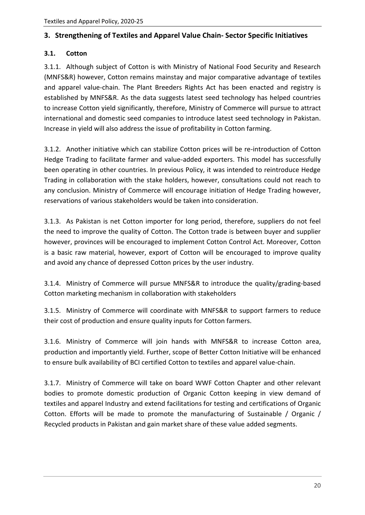#### <span id="page-20-0"></span>**3. Strengthening of Textiles and Apparel Value Chain- Sector Specific Initiatives**

#### <span id="page-20-1"></span>**3.1. Cotton**

3.1.1. Although subject of Cotton is with Ministry of National Food Security and Research (MNFS&R) however, Cotton remains mainstay and major comparative advantage of textiles and apparel value-chain. The Plant Breeders Rights Act has been enacted and registry is established by MNFS&R. As the data suggests latest seed technology has helped countries to increase Cotton yield significantly, therefore, Ministry of Commerce will pursue to attract international and domestic seed companies to introduce latest seed technology in Pakistan. Increase in yield will also address the issue of profitability in Cotton farming.

3.1.2. Another initiative which can stabilize Cotton prices will be re-introduction of Cotton Hedge Trading to facilitate farmer and value-added exporters. This model has successfully been operating in other countries. In previous Policy, it was intended to reintroduce Hedge Trading in collaboration with the stake holders, however, consultations could not reach to any conclusion. Ministry of Commerce will encourage initiation of Hedge Trading however, reservations of various stakeholders would be taken into consideration.

3.1.3. As Pakistan is net Cotton importer for long period, therefore, suppliers do not feel the need to improve the quality of Cotton. The Cotton trade is between buyer and supplier however, provinces will be encouraged to implement Cotton Control Act. Moreover, Cotton is a basic raw material, however, export of Cotton will be encouraged to improve quality and avoid any chance of depressed Cotton prices by the user industry.

3.1.4. Ministry of Commerce will pursue MNFS&R to introduce the quality/grading-based Cotton marketing mechanism in collaboration with stakeholders

3.1.5. Ministry of Commerce will coordinate with MNFS&R to support farmers to reduce their cost of production and ensure quality inputs for Cotton farmers.

3.1.6. Ministry of Commerce will join hands with MNFS&R to increase Cotton area, production and importantly yield. Further, scope of Better Cotton Initiative will be enhanced to ensure bulk availability of BCI certified Cotton to textiles and apparel value-chain.

3.1.7. Ministry of Commerce will take on board WWF Cotton Chapter and other relevant bodies to promote domestic production of Organic Cotton keeping in view demand of textiles and apparel Industry and extend facilitations for testing and certifications of Organic Cotton. Efforts will be made to promote the manufacturing of Sustainable / Organic / Recycled products in Pakistan and gain market share of these value added segments.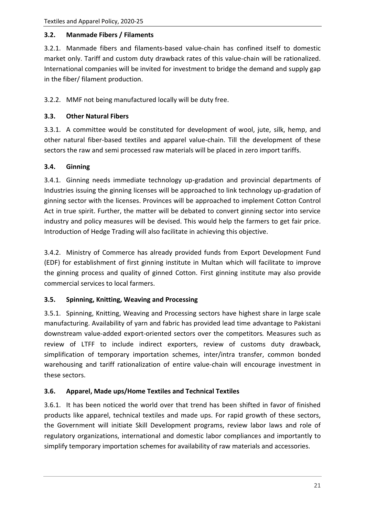#### <span id="page-21-0"></span>**3.2. Manmade Fibers / Filaments**

3.2.1. Manmade fibers and filaments-based value-chain has confined itself to domestic market only. Tariff and custom duty drawback rates of this value-chain will be rationalized. International companies will be invited for investment to bridge the demand and supply gap in the fiber/ filament production.

3.2.2. MMF not being manufactured locally will be duty free.

#### <span id="page-21-1"></span>**3.3. Other Natural Fibers**

3.3.1. A committee would be constituted for development of wool, jute, silk, hemp, and other natural fiber-based textiles and apparel value-chain. Till the development of these sectors the raw and semi processed raw materials will be placed in zero import tariffs.

#### <span id="page-21-2"></span>**3.4. Ginning**

3.4.1. Ginning needs immediate technology up-gradation and provincial departments of Industries issuing the ginning licenses will be approached to link technology up-gradation of ginning sector with the licenses. Provinces will be approached to implement Cotton Control Act in true spirit. Further, the matter will be debated to convert ginning sector into service industry and policy measures will be devised. This would help the farmers to get fair price. Introduction of Hedge Trading will also facilitate in achieving this objective.

3.4.2. Ministry of Commerce has already provided funds from Export Development Fund (EDF) for establishment of first ginning institute in Multan which will facilitate to improve the ginning process and quality of ginned Cotton. First ginning institute may also provide commercial services to local farmers.

#### <span id="page-21-3"></span>**3.5. Spinning, Knitting, Weaving and Processing**

3.5.1. Spinning, Knitting, Weaving and Processing sectors have highest share in large scale manufacturing. Availability of yarn and fabric has provided lead time advantage to Pakistani downstream value-added export-oriented sectors over the competitors*.* Measures such as review of LTFF to include indirect exporters, review of customs duty drawback, simplification of temporary importation schemes, inter/intra transfer, common bonded warehousing and tariff rationalization of entire value-chain will encourage investment in these sectors.

#### <span id="page-21-4"></span>**3.6. Apparel, Made ups/Home Textiles and Technical Textiles**

3.6.1. It has been noticed the world over that trend has been shifted in favor of finished products like apparel, technical textiles and made ups. For rapid growth of these sectors, the Government will initiate Skill Development programs, review labor laws and role of regulatory organizations, international and domestic labor compliances and importantly to simplify temporary importation schemes for availability of raw materials and accessories.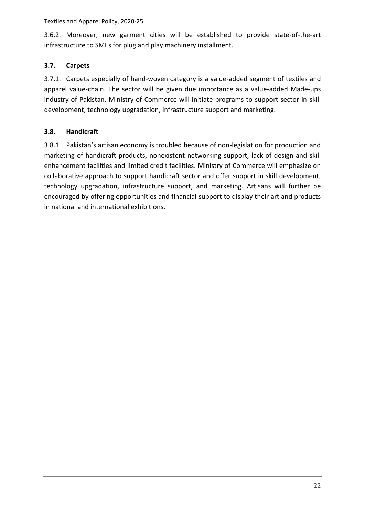3.6.2. Moreover, new garment cities will be established to provide state-of-the-art infrastructure to SMEs for plug and play machinery installment.

# <span id="page-22-0"></span>**3.7. Carpets**

3.7.1. Carpets especially of hand-woven category is a value-added segment of textiles and apparel value-chain. The sector will be given due importance as a value-added Made-ups industry of Pakistan. Ministry of Commerce will initiate programs to support sector in skill development, technology upgradation, infrastructure support and marketing.

# <span id="page-22-1"></span>**3.8. Handicraft**

3.8.1. Pakistan's artisan economy is troubled because of non-legislation for production and marketing of handicraft products, nonexistent networking support, lack of design and skill enhancement facilities and limited credit facilities. Ministry of Commerce will emphasize on collaborative approach to support handicraft sector and offer support in skill development, technology upgradation, infrastructure support, and marketing. Artisans will further be encouraged by offering opportunities and financial support to display their art and products in national and international exhibitions.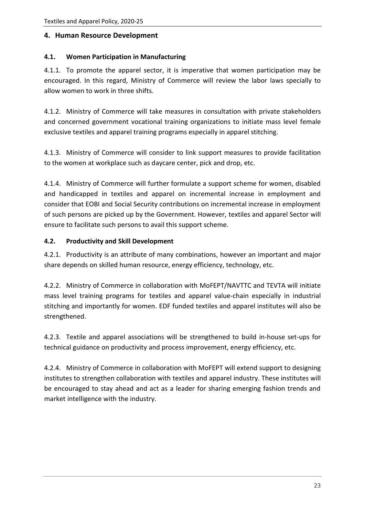#### <span id="page-23-0"></span>**4. Human Resource Development**

#### <span id="page-23-1"></span>**4.1. Women Participation in Manufacturing**

4.1.1. To promote the apparel sector, it is imperative that women participation may be encouraged. In this regard, Ministry of Commerce will review the labor laws specially to allow women to work in three shifts.

4.1.2. Ministry of Commerce will take measures in consultation with private stakeholders and concerned government vocational training organizations to initiate mass level female exclusive textiles and apparel training programs especially in apparel stitching.

4.1.3. Ministry of Commerce will consider to link support measures to provide facilitation to the women at workplace such as daycare center, pick and drop, etc.

4.1.4. Ministry of Commerce will further formulate a support scheme for women, disabled and handicapped in textiles and apparel on incremental increase in employment and consider that EOBI and Social Security contributions on incremental increase in employment of such persons are picked up by the Government. However, textiles and apparel Sector will ensure to facilitate such persons to avail this support scheme.

#### <span id="page-23-2"></span>**4.2. Productivity and Skill Development**

4.2.1. Productivity is an attribute of many combinations, however an important and major share depends on skilled human resource, energy efficiency, technology, etc.

4.2.2. Ministry of Commerce in collaboration with MoFEPT/NAVTTC and TEVTA will initiate mass level training programs for textiles and apparel value-chain especially in industrial stitching and importantly for women. EDF funded textiles and apparel institutes will also be strengthened.

4.2.3. Textile and apparel associations will be strengthened to build in-house set-ups for technical guidance on productivity and process improvement, energy efficiency, etc.

4.2.4. Ministry of Commerce in collaboration with MoFEPT will extend support to designing institutes to strengthen collaboration with textiles and apparel industry. These institutes will be encouraged to stay ahead and act as a leader for sharing emerging fashion trends and market intelligence with the industry.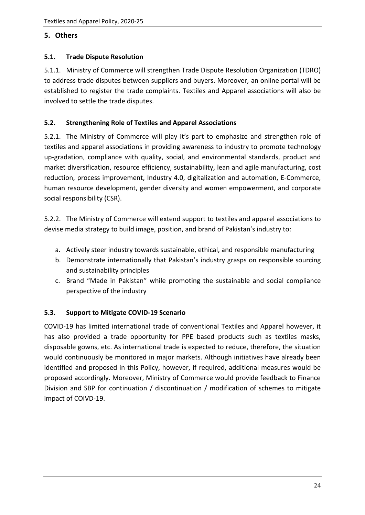# <span id="page-24-0"></span>**5. Others**

#### <span id="page-24-1"></span>**5.1. Trade Dispute Resolution**

5.1.1. Ministry of Commerce will strengthen Trade Dispute Resolution Organization (TDRO) to address trade disputes between suppliers and buyers. Moreover, an online portal will be established to register the trade complaints. Textiles and Apparel associations will also be involved to settle the trade disputes.

# <span id="page-24-2"></span>**5.2. Strengthening Role of Textiles and Apparel Associations**

5.2.1. The Ministry of Commerce will play it's part to emphasize and strengthen role of textiles and apparel associations in providing awareness to industry to promote technology up-gradation, compliance with quality, social, and environmental standards, product and market diversification, resource efficiency, sustainability, lean and agile manufacturing, cost reduction, process improvement, Industry 4.0, digitalization and automation, E-Commerce, human resource development, gender diversity and women empowerment, and corporate social responsibility (CSR).

5.2.2. The Ministry of Commerce will extend support to textiles and apparel associations to devise media strategy to build image, position, and brand of Pakistan's industry to:

- a. Actively steer industry towards sustainable, ethical, and responsible manufacturing
- b. Demonstrate internationally that Pakistan's industry grasps on responsible sourcing and sustainability principles
- c. Brand "Made in Pakistan" while promoting the sustainable and social compliance perspective of the industry

#### <span id="page-24-3"></span>**5.3. Support to Mitigate COVID-19 Scenario**

COVID-19 has limited international trade of conventional Textiles and Apparel however, it has also provided a trade opportunity for PPE based products such as textiles masks, disposable gowns, etc. As international trade is expected to reduce, therefore, the situation would continuously be monitored in major markets. Although initiatives have already been identified and proposed in this Policy, however, if required, additional measures would be proposed accordingly. Moreover, Ministry of Commerce would provide feedback to Finance Division and SBP for continuation / discontinuation / modification of schemes to mitigate impact of COIVD-19.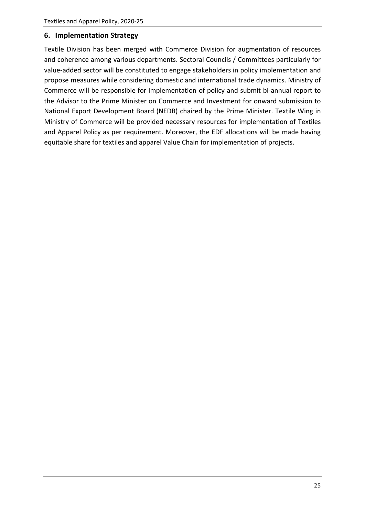#### <span id="page-25-0"></span>**6. Implementation Strategy**

Textile Division has been merged with Commerce Division for augmentation of resources and coherence among various departments. Sectoral Councils / Committees particularly for value-added sector will be constituted to engage stakeholders in policy implementation and propose measures while considering domestic and international trade dynamics. Ministry of Commerce will be responsible for implementation of policy and submit bi-annual report to the Advisor to the Prime Minister on Commerce and Investment for onward submission to National Export Development Board (NEDB) chaired by the Prime Minister. Textile Wing in Ministry of Commerce will be provided necessary resources for implementation of Textiles and Apparel Policy as per requirement. Moreover, the EDF allocations will be made having equitable share for textiles and apparel Value Chain for implementation of projects.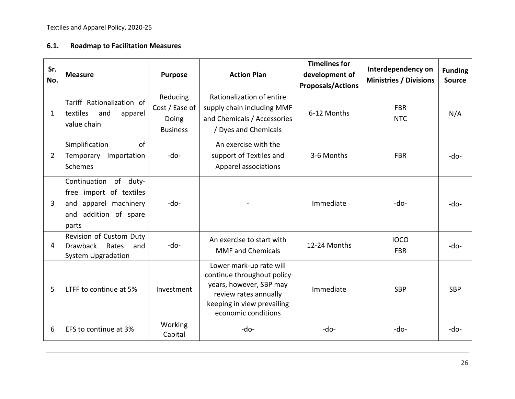#### **6.1. Roadmap to Facilitation Measures**

<span id="page-26-0"></span>

| Sr.<br>No.     | <b>Measure</b>                                                                                                    | <b>Purpose</b>                                         | <b>Action Plan</b>                                                                                                                                             | <b>Timelines for</b><br>development of<br><b>Proposals/Actions</b> | Interdependency on<br><b>Ministries / Divisions</b> | <b>Funding</b><br><b>Source</b> |
|----------------|-------------------------------------------------------------------------------------------------------------------|--------------------------------------------------------|----------------------------------------------------------------------------------------------------------------------------------------------------------------|--------------------------------------------------------------------|-----------------------------------------------------|---------------------------------|
| 1              | Tariff Rationalization of<br>textiles<br>and<br>apparel<br>value chain                                            | Reducing<br>Cost / Ease of<br>Doing<br><b>Business</b> | Rationalization of entire<br>supply chain including MMF<br>and Chemicals / Accessories<br>/ Dyes and Chemicals                                                 | 6-12 Months                                                        | <b>FBR</b><br><b>NTC</b>                            | N/A                             |
| $\overline{2}$ | Simplification<br>of<br>Temporary<br>Importation<br><b>Schemes</b>                                                | -do-                                                   | An exercise with the<br>support of Textiles and<br>Apparel associations                                                                                        | 3-6 Months                                                         | <b>FBR</b>                                          | -do-                            |
| 3              | Continuation<br>of duty-<br>free import of textiles<br>and apparel machinery<br>addition of spare<br>and<br>parts | -do-                                                   |                                                                                                                                                                | Immediate                                                          | -do-                                                | -do-                            |
| 4              | Revision of Custom Duty<br>Drawback Rates<br>and<br><b>System Upgradation</b>                                     | -do-                                                   | An exercise to start with<br><b>MMF</b> and Chemicals                                                                                                          | 12-24 Months                                                       | <b>IOCO</b><br><b>FBR</b>                           | -do-                            |
| 5              | LTFF to continue at 5%                                                                                            | Investment                                             | Lower mark-up rate will<br>continue throughout policy<br>years, however, SBP may<br>review rates annually<br>keeping in view prevailing<br>economic conditions | Immediate                                                          | <b>SBP</b>                                          | <b>SBP</b>                      |
| 6              | EFS to continue at 3%                                                                                             | Working<br>Capital                                     | -do-                                                                                                                                                           | -do-                                                               | $-do-$                                              | -do-                            |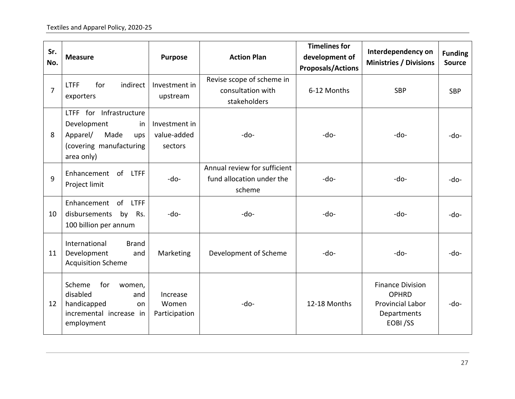| Sr.<br>No.     | <b>Measure</b>                                                                                                   | <b>Purpose</b>                          | <b>Action Plan</b>                                                  | <b>Timelines for</b><br>development of<br><b>Proposals/Actions</b> | Interdependency on<br><b>Ministries / Divisions</b>                                          | <b>Funding</b><br><b>Source</b> |
|----------------|------------------------------------------------------------------------------------------------------------------|-----------------------------------------|---------------------------------------------------------------------|--------------------------------------------------------------------|----------------------------------------------------------------------------------------------|---------------------------------|
| $\overline{7}$ | indirect<br><b>LTFF</b><br>for<br>exporters                                                                      | Investment in<br>upstream               | Revise scope of scheme in<br>consultation with<br>stakeholders      | 6-12 Months                                                        | <b>SBP</b>                                                                                   | <b>SBP</b>                      |
| 8              | LTFF for Infrastructure<br>Development<br>in<br>Apparel/<br>Made<br>ups<br>(covering manufacturing<br>area only) | Investment in<br>value-added<br>sectors | $-do-$                                                              | $-do-$                                                             | $-do-$                                                                                       | $-do-$                          |
| 9              | of LTFF<br>Enhancement<br>Project limit                                                                          | $-do-$                                  | Annual review for sufficient<br>fund allocation under the<br>scheme | -do-                                                               | -do-                                                                                         | $-do-$                          |
| 10             | Enhancement of LTFF<br>disbursements<br>by<br>Rs.<br>100 billion per annum                                       | -do-                                    | -do-                                                                | -do-                                                               | -do-                                                                                         | $-do-$                          |
| 11             | International<br><b>Brand</b><br>Development<br>and<br><b>Acquisition Scheme</b>                                 | Marketing                               | Development of Scheme                                               | $-do-$                                                             | $-do-$                                                                                       | $-do-$                          |
| 12             | Scheme<br>for<br>women,<br>disabled<br>and<br>handicapped<br>on<br>incremental increase in<br>employment         | Increase<br>Women<br>Participation      | $-do-$                                                              | 12-18 Months                                                       | <b>Finance Division</b><br><b>OPHRD</b><br><b>Provincial Labor</b><br>Departments<br>EOBI/SS | -do-                            |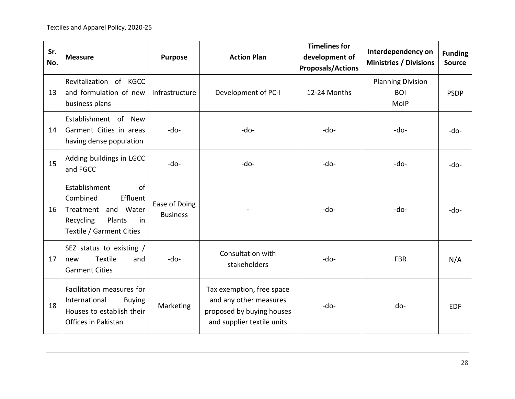| Sr.<br>No. | <b>Measure</b>                                                                                                              | <b>Purpose</b>                   | <b>Action Plan</b>                                                                                             | <b>Timelines for</b><br>development of<br><b>Proposals/Actions</b> | Interdependency on<br><b>Ministries / Divisions</b>   | <b>Funding</b><br><b>Source</b> |
|------------|-----------------------------------------------------------------------------------------------------------------------------|----------------------------------|----------------------------------------------------------------------------------------------------------------|--------------------------------------------------------------------|-------------------------------------------------------|---------------------------------|
| 13         | Revitalization of KGCC<br>and formulation of new<br>business plans                                                          | Infrastructure                   | Development of PC-I                                                                                            | 12-24 Months                                                       | <b>Planning Division</b><br><b>BOI</b><br><b>MoIP</b> | <b>PSDP</b>                     |
| 14         | Establishment of New<br>Garment Cities in areas<br>having dense population                                                  | -do-                             | -do-                                                                                                           | -do-                                                               | -do-                                                  | -do-                            |
| 15         | Adding buildings in LGCC<br>and FGCC                                                                                        | $-do-$                           | $-do-$                                                                                                         | $-do-$                                                             | -do-                                                  | $-do-$                          |
| 16         | Establishment<br>of<br>Combined<br>Effluent<br>Treatment and Water<br>Recycling<br>Plants<br>in<br>Textile / Garment Cities | Ease of Doing<br><b>Business</b> |                                                                                                                | -do-                                                               | $-do-$                                                | $-do-$                          |
| 17         | SEZ status to existing /<br><b>Textile</b><br>and<br>new<br><b>Garment Cities</b>                                           | $-do-$                           | Consultation with<br>stakeholders                                                                              | $-do-$                                                             | <b>FBR</b>                                            | N/A                             |
| 18         | Facilitation measures for<br>International<br><b>Buying</b><br>Houses to establish their<br>Offices in Pakistan             | Marketing                        | Tax exemption, free space<br>and any other measures<br>proposed by buying houses<br>and supplier textile units | $-do-$                                                             | do-                                                   | <b>EDF</b>                      |